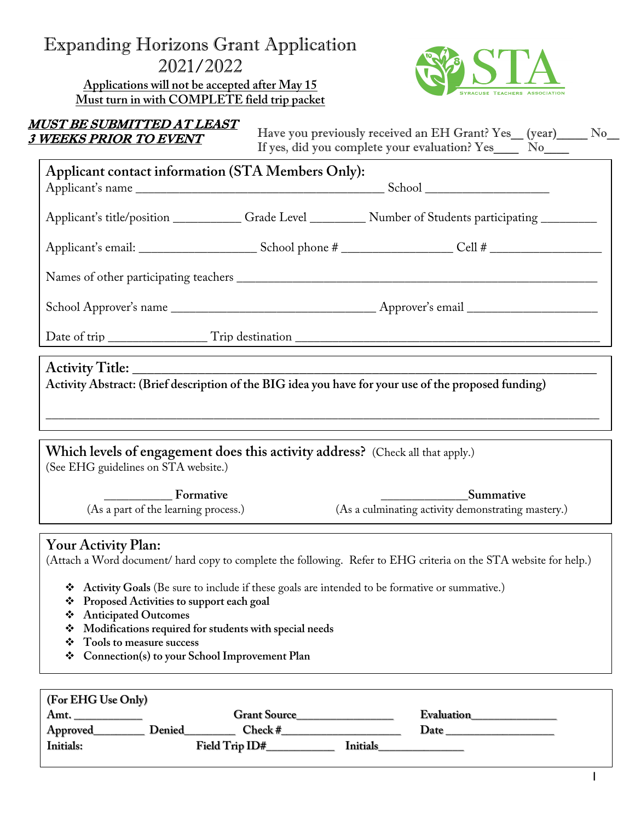### Expanding Horizons Grant Application 2021/2022

**Applications will not be accepted after May 15 Must turn in with COMPLETE field trip packet**



# MUST BE SUBMITTED AT LEAST

 $\frac{3 \text{ WEEKS PRIOR TO EVENT}}{3 \text{ WEEKS PRIOR TO EVENT}}$  Have you previously received an EH Grant? Yes\_ (year)\_\_\_\_ No\_ If yes, did you complete your evaluation? Yes\_\_\_\_ No\_\_\_\_

| Applicant contact information (STA Members Only):                                                                      |  |                                                                        |  |  |  |
|------------------------------------------------------------------------------------------------------------------------|--|------------------------------------------------------------------------|--|--|--|
|                                                                                                                        |  |                                                                        |  |  |  |
|                                                                                                                        |  |                                                                        |  |  |  |
|                                                                                                                        |  |                                                                        |  |  |  |
|                                                                                                                        |  |                                                                        |  |  |  |
|                                                                                                                        |  |                                                                        |  |  |  |
| Activity Abstract: (Brief description of the BIG idea you have for your use of the proposed funding)                   |  |                                                                        |  |  |  |
| Which levels of engagement does this activity address? (Check all that apply.)<br>(See EHG guidelines on STA website.) |  |                                                                        |  |  |  |
| <b>Example 1</b> Formative<br>(As a part of the learning process.)                                                     |  | <b>Summative</b><br>(As a culminating activity demonstrating mastery.) |  |  |  |
| $V_{\text{atm}}$ $\Lambda_{\text{atm}}$ $\Lambda_{\text{atm}}$ $\Lambda_{\text{atm}}$                                  |  |                                                                        |  |  |  |

#### **Your Activity Plan:**

(Attach a Word document/ hard copy to complete the following. Refer to EHG criteria on the STA website for help.)

- v **Activity Goals** (Be sure to include if these goals are intended to be formative or summative.)
- v **Proposed Activities to support each goal**
- v **Anticipated Outcomes**
- v **Modifications required for students with special needs**
- v **Tools to measure success**
- v **Connection(s) to your School Improvement Plan**

| (For EHG Use Only) |                            |            |  |  |  |  |
|--------------------|----------------------------|------------|--|--|--|--|
| Amt.               | <b>Grant Source</b>        | Evaluation |  |  |  |  |
| Approved<br>Denied | Check #                    | Date       |  |  |  |  |
| <b>Initials:</b>   | Field Trip ID#<br>Initials |            |  |  |  |  |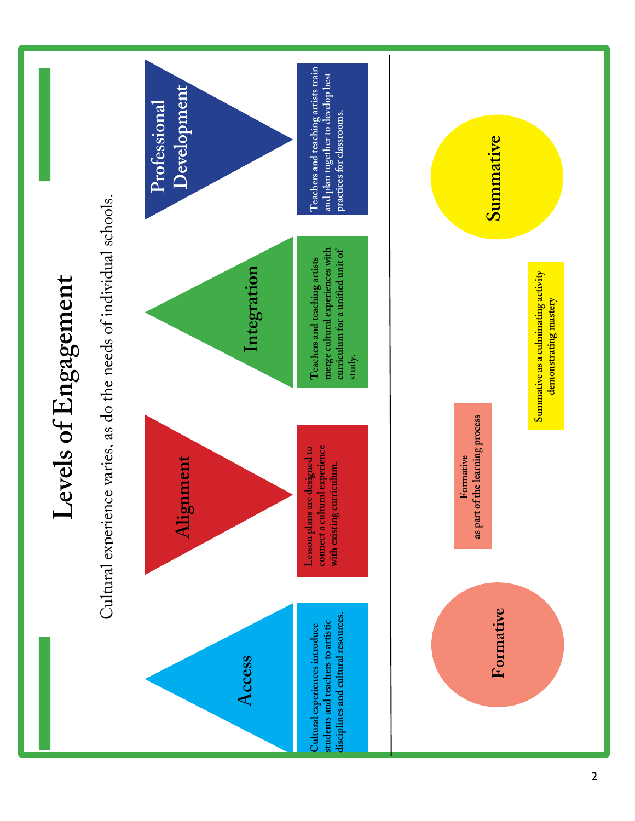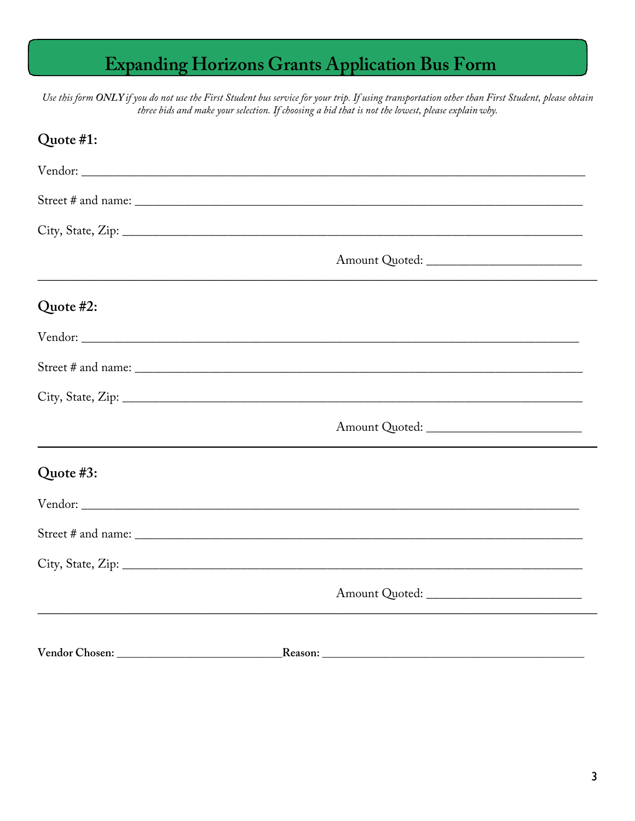### **Expanding Horizons Grants Application Bus Form**

Use this form ONLY if you do not use the First Student bus service for your trip. If using transportation other than First Student, please obtain three bids and make your selection. If choosing a bid that is not the lowest, please explain why.

| Quote #1: |                                              |  |
|-----------|----------------------------------------------|--|
|           |                                              |  |
|           |                                              |  |
|           |                                              |  |
|           |                                              |  |
| Quote #2: |                                              |  |
|           |                                              |  |
|           |                                              |  |
|           |                                              |  |
|           |                                              |  |
| Quote #3: |                                              |  |
|           |                                              |  |
|           |                                              |  |
|           |                                              |  |
|           | Amount Quoted: _____________________________ |  |
|           |                                              |  |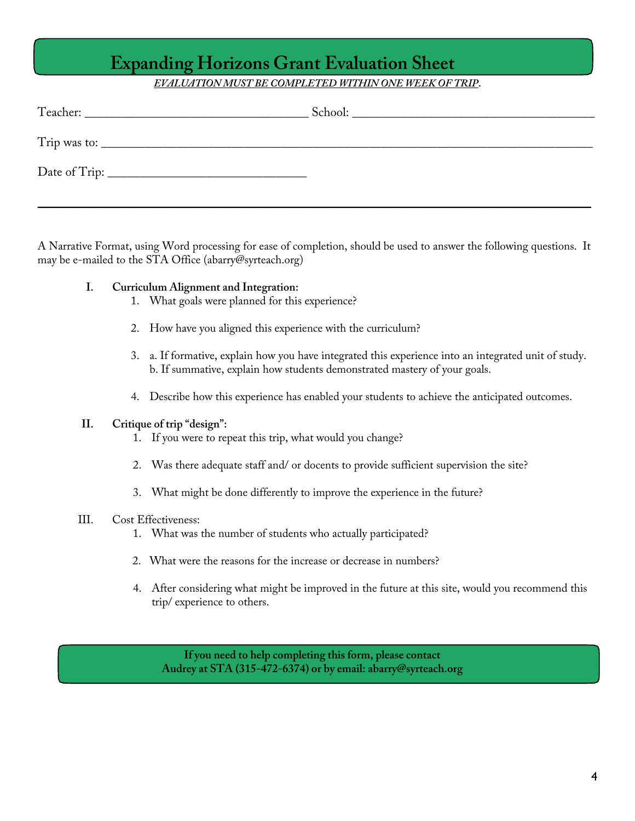### **Expanding Horizons Grant Evaluation Sheet**

#### *EVALUATION MUST BE COMPLETED WITHIN ONE WEEK OF TRIP*.

|              | School: |
|--------------|---------|
| Trip was to: |         |
|              |         |
|              |         |

A Narrative Format, using Word processing for ease of completion, should be used to answer the following questions. It may be e-mailed to the STA Office (abarry@syrteach.org)

#### **I. Curriculum Alignment and Integration:**

- 1. What goals were planned for this experience?
- 2. How have you aligned this experience with the curriculum?
- 3. a. If formative, explain how you have integrated this experience into an integrated unit of study. b. If summative, explain how students demonstrated mastery of your goals.
- 4. Describe how this experience has enabled your students to achieve the anticipated outcomes.

#### **II. Critique of trip "design":**

- 1. If you were to repeat this trip, what would you change?
- 2. Was there adequate staff and/ or docents to provide sufficient supervision the site?
- 3. What might be done differently to improve the experience in the future?

#### III. Cost Effectiveness:

- 1. What was the number of students who actually participated?
- 2. What were the reasons for the increase or decrease in numbers?
- 4. After considering what might be improved in the future at this site, would you recommend this trip/ experience to others.

**If you need to help completing this form, please contact Audrey at STA (315-472-6374) or by email: abarry@syrteach.org**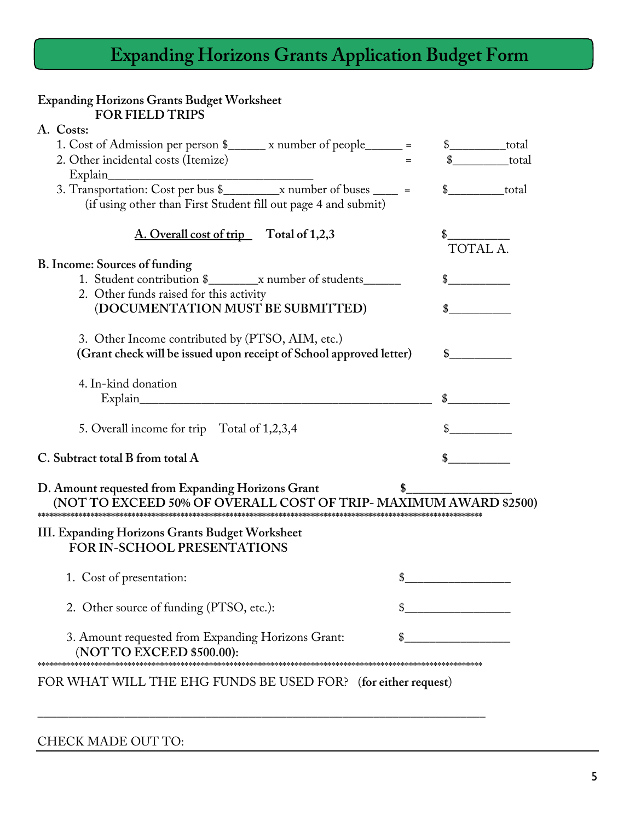# **Expanding Horizons Grants Application Budget Form**

| <b>Expanding Horizons Grants Budget Worksheet</b><br><b>FOR FIELD TRIPS</b>                                            |                              |
|------------------------------------------------------------------------------------------------------------------------|------------------------------|
| A. Costs:                                                                                                              |                              |
| 1. Cost of Admission per person \$_______ x number of people______ =                                                   | $\frac{\sqrt{25}}{25}$ total |
| 2. Other incidental costs (Itemize)                                                                                    | total                        |
|                                                                                                                        |                              |
|                                                                                                                        | total                        |
| (if using other than First Student fill out page 4 and submit)                                                         |                              |
| A. Overall cost of trip Total of 1,2,3                                                                                 |                              |
|                                                                                                                        | <b>TOTAL A</b>               |
| B. Income: Sources of funding                                                                                          |                              |
|                                                                                                                        |                              |
| 2. Other funds raised for this activity                                                                                |                              |
| (DOCUMENTATION MUST BE SUBMITTED)                                                                                      |                              |
|                                                                                                                        |                              |
| 3. Other Income contributed by (PTSO, AIM, etc.)                                                                       |                              |
| (Grant check will be issued upon receipt of School approved letter)                                                    | $\mathbb{S}$                 |
| 4. In-kind donation                                                                                                    |                              |
|                                                                                                                        |                              |
|                                                                                                                        |                              |
| 5. Overall income for trip Total of 1,2,3,4                                                                            |                              |
|                                                                                                                        |                              |
| C. Subtract total B from total A                                                                                       |                              |
| D. Amount requested from Expanding Horizons Grant<br>(NOT TO EXCEED 50% OF OVERALL COST OF TRIP- MAXIMUM AWARD \$2500) |                              |
| III. Expanding Horizons Grants Budget Worksheet<br><b>FOR IN-SCHOOL PRESENTATIONS</b>                                  |                              |
| 1. Cost of presentation:                                                                                               |                              |
| 2. Other source of funding (PTSO, etc.):                                                                               |                              |
| 3. Amount requested from Expanding Horizons Grant:<br>(NOT TO EXCEED \$500.00):                                        |                              |
| FOR WHAT WILL THE EHG FUNDS BE USED FOR? (for either request)                                                          |                              |

CHECK MADE OUT TO: